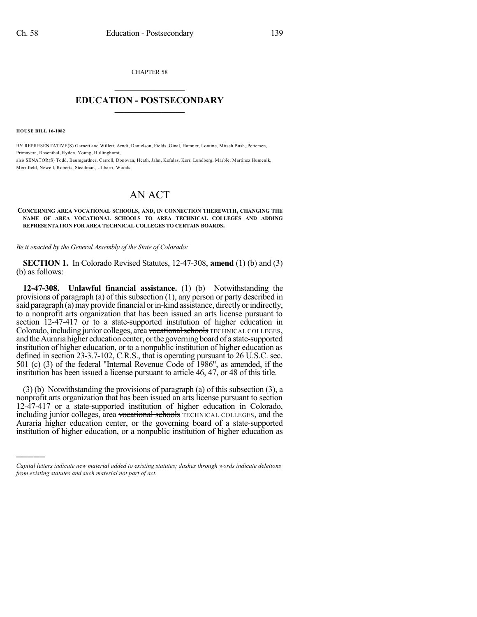CHAPTER 58  $\mathcal{L}_\text{max}$  . The set of the set of the set of the set of the set of the set of the set of the set of the set of the set of the set of the set of the set of the set of the set of the set of the set of the set of the set

## **EDUCATION - POSTSECONDARY**  $\_$   $\_$   $\_$   $\_$   $\_$   $\_$   $\_$   $\_$   $\_$

**HOUSE BILL 16-1082**

)))))

BY REPRESENTATIVE(S) Garnett and Willett, Arndt, Danielson, Fields, Ginal, Hamner, Lontine, Mitsch Bush, Pettersen, Primavera, Rosenthal, Ryden, Young, Hullinghorst; also SENATOR(S) Todd, Baumgardner, Carroll, Donovan, Heath, Jahn, Kefalas, Kerr, Lundberg, Marble, Martinez Humenik, Merrifield, Newell, Roberts, Steadman, Ulibarri, Woods.

## AN ACT

## **CONCERNING AREA VOCATIONAL SCHOOLS, AND, IN CONNECTION THEREWITH, CHANGING THE NAME OF AREA VOCATIONAL SCHOOLS TO AREA TECHNICAL COLLEGES AND ADDING REPRESENTATION FOR AREA TECHNICAL COLLEGES TO CERTAIN BOARDS.**

*Be it enacted by the General Assembly of the State of Colorado:*

**SECTION 1.** In Colorado Revised Statutes, 12-47-308, **amend** (1) (b) and (3) (b) as follows:

**12-47-308. Unlawful financial assistance.** (1) (b) Notwithstanding the provisions of paragraph (a) of this subsection (1), any person or party described in said paragraph (a) may provide financial or in-kind assistance, directly or indirectly, to a nonprofit arts organization that has been issued an arts license pursuant to section 12-47-417 or to a state-supported institution of higher education in Colorado, including junior colleges, area vocational schools TECHNICAL COLLEGES, and theAuraria higher education center, orthe governing board of a state-supported institution of higher education, or to a nonpublic institution of higher education as defined in section 23-3.7-102, C.R.S., that is operating pursuant to 26 U.S.C. sec. 501 (c) (3) of the federal "Internal Revenue Code of 1986", as amended, if the institution has been issued a license pursuant to article 46, 47, or 48 of this title.

(3) (b) Notwithstanding the provisions of paragraph (a) of this subsection (3), a nonprofit arts organization that has been issued an arts license pursuant to section 12-47-417 or a state-supported institution of higher education in Colorado, including junior colleges, area vocational schools TECHNICAL COLLEGES, and the Auraria higher education center, or the governing board of a state-supported institution of higher education, or a nonpublic institution of higher education as

*Capital letters indicate new material added to existing statutes; dashes through words indicate deletions from existing statutes and such material not part of act.*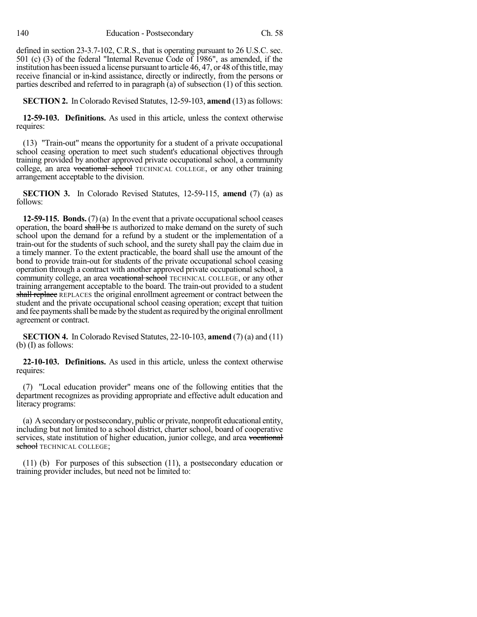defined in section 23-3.7-102, C.R.S., that is operating pursuant to 26 U.S.C. sec. 501 (c) (3) of the federal "Internal Revenue Code of 1986", as amended, if the institution has been issued a license pursuant to article 46, 47, or 48 of this title, may receive financial or in-kind assistance, directly or indirectly, from the persons or parties described and referred to in paragraph (a) of subsection (1) of this section.

**SECTION 2.** In Colorado Revised Statutes, 12-59-103, **amend** (13) asfollows:

**12-59-103. Definitions.** As used in this article, unless the context otherwise requires:

(13) "Train-out" means the opportunity for a student of a private occupational school ceasing operation to meet such student's educational objectives through training provided by another approved private occupational school, a community college, an area vocational school TECHNICAL COLLEGE, or any other training arrangement acceptable to the division.

**SECTION 3.** In Colorado Revised Statutes, 12-59-115, **amend** (7) (a) as follows:

**12-59-115. Bonds.** (7) (a) In the event that a private occupational school ceases operation, the board shall be IS authorized to make demand on the surety of such school upon the demand for a refund by a student or the implementation of a train-out for the students of such school, and the surety shall pay the claim due in a timely manner. To the extent practicable, the board shall use the amount of the bond to provide train-out for students of the private occupational school ceasing operation through a contract with another approved private occupational school, a community college, an area vocational school TECHNICAL COLLEGE, or any other training arrangement acceptable to the board. The train-out provided to a student shall replace REPLACES the original enrollment agreement or contract between the student and the private occupational school ceasing operation; except that tuition and fee payments shall be made by the student as required by the original enrollment agreement or contract.

**SECTION 4.** In Colorado Revised Statutes, 22-10-103, **amend** (7) (a) and (11) (b) (I) as follows:

**22-10-103. Definitions.** As used in this article, unless the context otherwise requires:

(7) "Local education provider" means one of the following entities that the department recognizes as providing appropriate and effective adult education and literacy programs:

(a) Asecondaryor postsecondary, public or private, nonprofit educational entity, including but not limited to a school district, charter school, board of cooperative services, state institution of higher education, junior college, and area vocational school TECHNICAL COLLEGE;

(11) (b) For purposes of this subsection (11), a postsecondary education or training provider includes, but need not be limited to: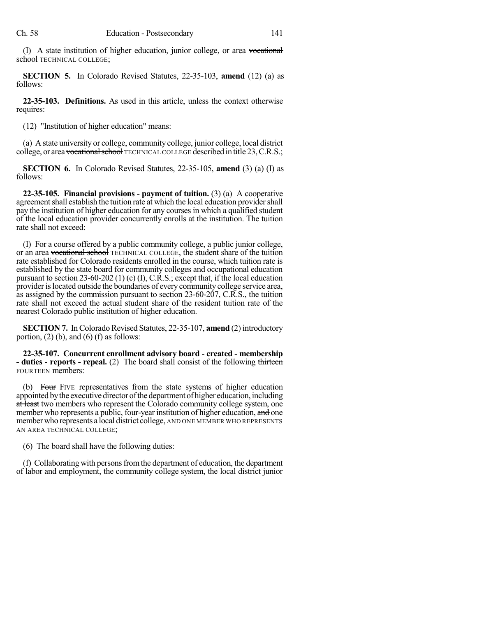(I) A state institution of higher education, junior college, or area vocational school TECHNICAL COLLEGE;

**SECTION 5.** In Colorado Revised Statutes, 22-35-103, **amend** (12) (a) as follows:

**22-35-103. Definitions.** As used in this article, unless the context otherwise requires:

(12) "Institution of higher education" means:

(a) A state university or college, community college, junior college, local district college, or area vocational school TECHNICAL COLLEGE described in title 23, C.R.S.;

**SECTION 6.** In Colorado Revised Statutes, 22-35-105, **amend** (3) (a) (I) as follows:

**22-35-105. Financial provisions - payment of tuition.** (3) (a) A cooperative agreement shall establish the tuition rate at which the local education provider shall pay the institution of higher education for any courses in which a qualified student of the local education provider concurrently enrolls at the institution. The tuition rate shall not exceed:

(I) For a course offered by a public community college, a public junior college, or an area vocational school TECHNICAL COLLEGE, the student share of the tuition rate established for Colorado residents enrolled in the course, which tuition rate is established by the state board for community colleges and occupational education pursuant to section 23-60-202 (1) (c) (I), C.R.S.; except that, if the local education provider is located outside the boundaries of every community college service area, as assigned by the commission pursuant to section 23-60-207, C.R.S., the tuition rate shall not exceed the actual student share of the resident tuition rate of the nearest Colorado public institution of higher education.

**SECTION 7.** In Colorado Revised Statutes, 22-35-107, **amend** (2) introductory portion,  $(2)$  (b), and  $(6)$  (f) as follows:

**22-35-107. Concurrent enrollment advisory board - created - membership - duties - reports - repeal.** (2) The board shall consist of the following thirteen FOURTEEN members:

(b) Four FIVE representatives from the state systems of higher education appointed by the executive director of the department of higher education, including at least two members who represent the Colorado community college system, one member who represents a public, four-year institution of higher education, and one memberwho represents a local district college, AND ONE MEMBER WHO REPRESENTS AN AREA TECHNICAL COLLEGE;

(6) The board shall have the following duties:

(f) Collaborating with persons from the department of education, the department of labor and employment, the community college system, the local district junior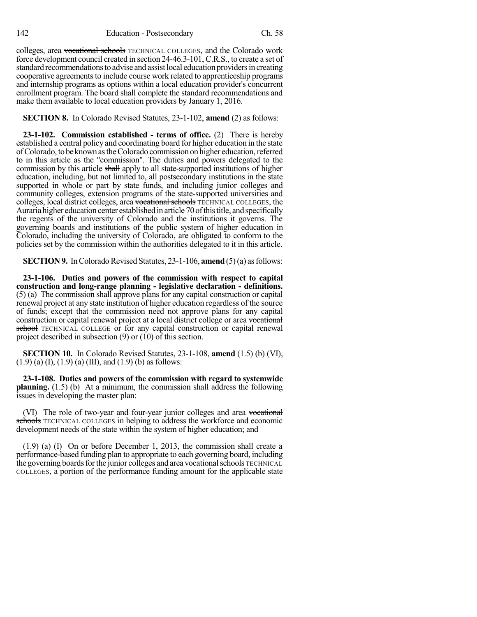colleges, area vocational schools TECHNICAL COLLEGES, and the Colorado work force development council created in section 24-46.3-101, C.R.S., to create a set of standard recommendations to advise and assist local education providers in creating cooperative agreements to include course work related to apprenticeship programs and internship programs as options within a local education provider's concurrent enrollment program. The board shall complete the standard recommendations and make them available to local education providers by January 1, 2016.

## **SECTION 8.** In Colorado Revised Statutes, 23-1-102, **amend** (2) as follows:

**23-1-102. Commission established - terms of office.** (2) There is hereby established a central policy and coordinating board for higher education in the state ofColorado,tobeknownastheColorado commission on higher education,referred to in this article as the "commission". The duties and powers delegated to the commission by this article shall apply to all state-supported institutions of higher education, including, but not limited to, all postsecondary institutions in the state supported in whole or part by state funds, and including junior colleges and community colleges, extension programs of the state-supported universities and colleges, local district colleges, area vocational schools TECHNICAL COLLEGES, the Auraria higher education center established in article 70 of this title, and specifically the regents of the university of Colorado and the institutions it governs. The governing boards and institutions of the public system of higher education in Colorado, including the university of Colorado, are obligated to conform to the policies set by the commission within the authorities delegated to it in this article.

**SECTION 9.** In Colorado Revised Statutes, 23-1-106, **amend** (5)(a) as follows:

**23-1-106. Duties and powers of the commission with respect to capital construction and long-range planning - legislative declaration - definitions.** (5) (a) The commission shall approve plans for any capital construction or capital renewal project at any state institution of higher education regardless of the source of funds; except that the commission need not approve plans for any capital construction or capital renewal project at a local district college or area vocational school TECHNICAL COLLEGE or for any capital construction or capital renewal project described in subsection (9) or (10) of this section.

**SECTION 10.** In Colorado Revised Statutes, 23-1-108, **amend** (1.5) (b) (VI),  $(1.9)$  (a) (I),  $(1.9)$  (a) (III), and  $(1.9)$  (b) as follows:

**23-1-108. Duties and powers of the commission with regard to systemwide planning.** (1.5) (b) At a minimum, the commission shall address the following issues in developing the master plan:

(VI) The role of two-year and four-year junior colleges and area vocational schools TECHNICAL COLLEGES in helping to address the workforce and economic development needs of the state within the system of higher education; and

(1.9) (a) (I) On or before December 1, 2013, the commission shall create a performance-based funding plan to appropriate to each governing board, including the governing boards for the junior colleges and area vocational schools TECHNICAL COLLEGES, a portion of the performance funding amount for the applicable state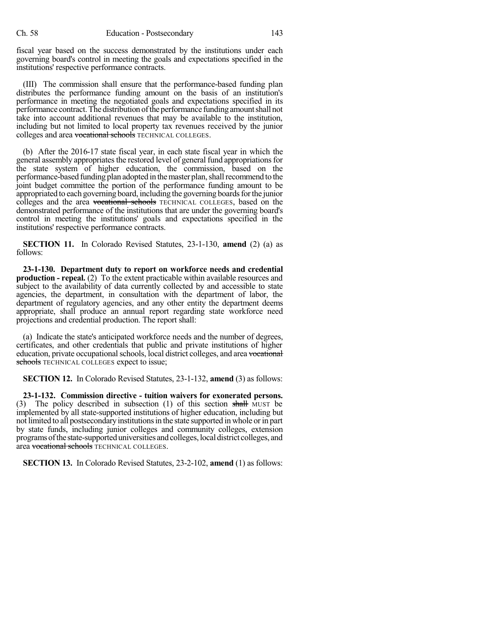fiscal year based on the success demonstrated by the institutions under each governing board's control in meeting the goals and expectations specified in the institutions' respective performance contracts.

(III) The commission shall ensure that the performance-based funding plan distributes the performance funding amount on the basis of an institution's performance in meeting the negotiated goals and expectations specified in its performance contract. The distribution of the performance funding amount shall not take into account additional revenues that may be available to the institution, including but not limited to local property tax revenues received by the junior colleges and area vocational schools TECHNICAL COLLEGES.

(b) After the 2016-17 state fiscal year, in each state fiscal year in which the general assembly appropriates the restored level of general fund appropriations for the state system of higher education, the commission, based on the performance-based funding plan adopted in the master plan, shall recommend to the joint budget committee the portion of the performance funding amount to be appropriated to each governing board, including the governing boards for the junior colleges and the area vocational schools TECHNICAL COLLEGES, based on the demonstrated performance of the institutions that are under the governing board's control in meeting the institutions' goals and expectations specified in the institutions' respective performance contracts.

**SECTION 11.** In Colorado Revised Statutes, 23-1-130, **amend** (2) (a) as follows:

**23-1-130. Department duty to report on workforce needs and credential production - repeal.** (2) To the extent practicable within available resources and subject to the availability of data currently collected by and accessible to state agencies, the department, in consultation with the department of labor, the department of regulatory agencies, and any other entity the department deems appropriate, shall produce an annual report regarding state workforce need projections and credential production. The report shall:

(a) Indicate the state's anticipated workforce needs and the number of degrees, certificates, and other credentials that public and private institutions of higher education, private occupational schools, local district colleges, and area vocational schools TECHNICAL COLLEGES expect to issue;

**SECTION 12.** In Colorado Revised Statutes, 23-1-132, **amend** (3) as follows:

**23-1-132. Commission directive - tuition waivers for exonerated persons.** (3) The policy described in subsection (1) of this section shall MUST be implemented by all state-supported institutions of higher education, including but not limited to all postsecondaryinstitutionsin the state supported in whole orin part by state funds, including junior colleges and community colleges, extension programsofthe state-supporteduniversities andcolleges,local district colleges, and area vocational schools TECHNICAL COLLEGES.

**SECTION 13.** In Colorado Revised Statutes, 23-2-102, **amend** (1) as follows: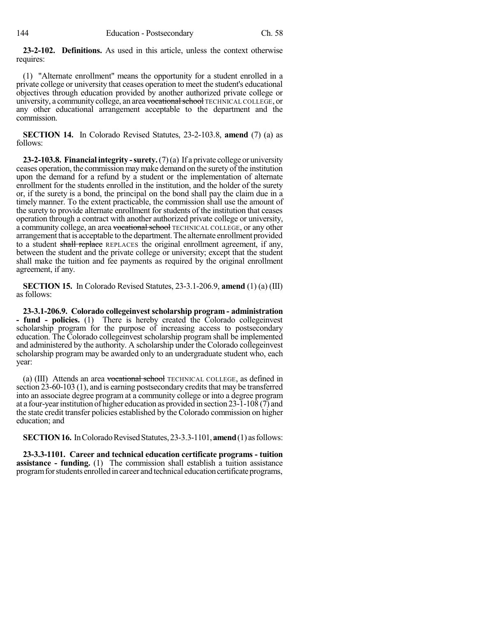**23-2-102. Definitions.** As used in this article, unless the context otherwise requires:

(1) "Alternate enrollment" means the opportunity for a student enrolled in a private college or university that ceases operation to meet the student's educational objectives through education provided by another authorized private college or university, a community college, an area vocational school TECHNICAL COLLEGE, or any other educational arrangement acceptable to the department and the commission.

**SECTION 14.** In Colorado Revised Statutes, 23-2-103.8, **amend** (7) (a) as follows:

**23-2-103.8. Financial integrity -surety.**(7)(a) If a private college or university ceases operation, the commission maymake demand on the surety of the institution upon the demand for a refund by a student or the implementation of alternate enrollment for the students enrolled in the institution, and the holder of the surety or, if the surety is a bond, the principal on the bond shall pay the claim due in a timely manner. To the extent practicable, the commission shall use the amount of the surety to provide alternate enrollment for students of the institution that ceases operation through a contract with another authorized private college or university, a community college, an area vocationalschool TECHNICAL COLLEGE, or any other arrangement that is acceptable to the department. The alternate enrollment provided to a student shall replace REPLACES the original enrollment agreement, if any, between the student and the private college or university; except that the student shall make the tuition and fee payments as required by the original enrollment agreement, if any.

**SECTION 15.** In Colorado Revised Statutes, 23-3.1-206.9, **amend** (1) (a) (III) as follows:

**23-3.1-206.9. Colorado collegeinvest scholarship program - administration - fund - policies.** (1) There is hereby created the Colorado collegeinvest scholarship program for the purpose of increasing access to postsecondary education. The Colorado collegeinvest scholarship program shall be implemented and administered by the authority. A scholarship under the Colorado collegeinvest scholarship program may be awarded only to an undergraduate student who, each year:

(a) (III) Attends an area vocational school TECHNICAL COLLEGE, as defined in section  $23-60-103$  (1), and is earning postsecondary credits that may be transferred into an associate degree program at a community college or into a degree program at a four-year institution of higher education as provided in section 23-1-108 (7) and the state credit transfer policies established by the Colorado commission on higher education; and

**SECTION 16.** In Colorado Revised Statutes, 23-3.3-1101, **amend** (1) as follows:

**23-3.3-1101. Career and technical education certificate programs - tuition assistance - funding.** (1) The commission shall establish a tuition assistance program for students enrolled in career and technical education certificate programs,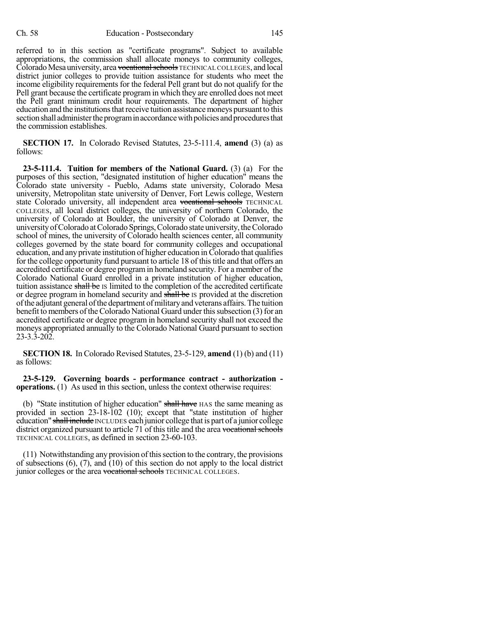referred to in this section as "certificate programs". Subject to available appropriations, the commission shall allocate moneys to community colleges, Colorado Mesa university, area <del>vocational schools</del> TECHNICAL COLLEGES, and local district junior colleges to provide tuition assistance for students who meet the income eligibility requirements for the federal Pell grant but do not qualify for the Pell grant because the certificate program in which they are enrolled does not meet the Pell grant minimum credit hour requirements. The department of higher education and the institutions that receive tuition assistance moneys pursuant to this section shall administer the program in accordance with policies and procedures that the commission establishes.

**SECTION 17.** In Colorado Revised Statutes, 23-5-111.4, **amend** (3) (a) as follows:

**23-5-111.4. Tuition for members of the National Guard.** (3) (a) For the purposes of this section, "designated institution of higher education" means the Colorado state university - Pueblo, Adams state university, Colorado Mesa university, Metropolitan state university of Denver, Fort Lewis college, Western state Colorado university, all independent area vocational schools TECHNICAL COLLEGES, all local district colleges, the university of northern Colorado, the university of Colorado at Boulder, the university of Colorado at Denver, the university of Colorado at Colorado Springs, Colorado state university, the Colorado school of mines, the university of Colorado health sciences center, all community colleges governed by the state board for community colleges and occupational education, and any private institution of higher education inColorado that qualifies for the college opportunity fund pursuant to article 18 of this title and that offers an accredited certificate or degree programin homeland security. For a member of the Colorado National Guard enrolled in a private institution of higher education, tuition assistance shall be IS limited to the completion of the accredited certificate or degree program in homeland security and shall be IS provided at the discretion ofthe adjutant general ofthe department ofmilitaryand veterans affairs.The tuition benefit to members of the Colorado National Guard under this subsection (3) for an accredited certificate or degree program in homeland security shall not exceed the moneys appropriated annually to the Colorado National Guard pursuant to section 23-3.3-202.

**SECTION 18.** In Colorado Revised Statutes, 23-5-129, **amend** (1) (b) and (11) as follows:

**23-5-129. Governing boards - performance contract - authorization operations.** (1) As used in this section, unless the context otherwise requires:

(b) "State institution of higher education" shall have HAS the same meaning as provided in section 23-18-102 (10); except that "state institution of higher education" shall include INCLUDES each junior college that is part of a junior college district organized pursuant to article 71 of this title and the area vocational schools TECHNICAL COLLEGES, as defined in section 23-60-103.

 $(11)$  Notwithstanding any provision of this section to the contrary, the provisions of subsections  $(6)$ ,  $(7)$ , and  $(10)$  of this section do not apply to the local district junior colleges or the area vocational schools TECHNICAL COLLEGES.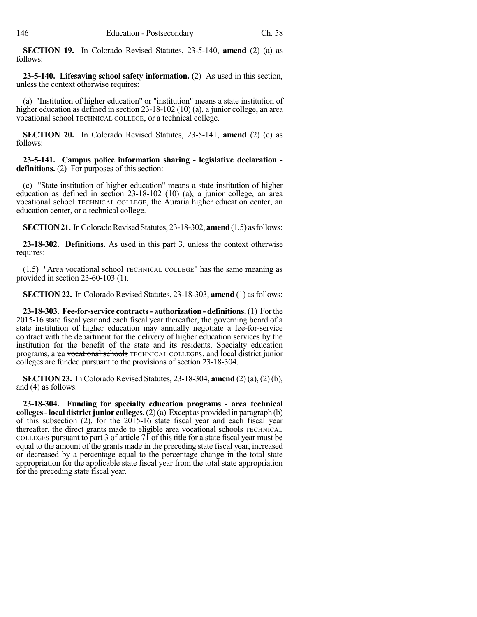**SECTION 19.** In Colorado Revised Statutes, 23-5-140, **amend** (2) (a) as follows:

**23-5-140. Lifesaving school safety information.** (2) As used in this section, unless the context otherwise requires:

(a) "Institution of higher education" or "institution" means a state institution of higher education as defined in section 23-18-102 (10) (a), a junior college, an area vocational school TECHNICAL COLLEGE, or a technical college.

**SECTION 20.** In Colorado Revised Statutes, 23-5-141, **amend** (2) (c) as follows:

**23-5-141. Campus police information sharing - legislative declaration definitions.** (2) For purposes of this section:

(c) "State institution of higher education" means a state institution of higher education as defined in section 23-18-102 (10) (a), a junior college, an area vocational school TECHNICAL COLLEGE, the Auraria higher education center, an education center, or a technical college.

**SECTION 21.** In Colorado Revised Statutes, 23-18-302, **amend** (1.5) as follows:

**23-18-302. Definitions.** As used in this part 3, unless the context otherwise requires:

 $(1.5)$  "Area vocational school TECHNICAL COLLEGE" has the same meaning as provided in section 23-60-103 (1).

**SECTION 22.** In Colorado Revised Statutes, 23-18-303, **amend** (1) as follows:

**23-18-303. Fee-for-service contracts- authorization - definitions.**(1) Forthe 2015-16 state fiscal year and each fiscal year thereafter, the governing board of a state institution of higher education may annually negotiate a fee-for-service contract with the department for the delivery of higher education services by the institution for the benefit of the state and its residents. Specialty education programs, area vocational schools TECHNICAL COLLEGES, and local district junior colleges are funded pursuant to the provisions of section 23-18-304.

**SECTION 23.** In Colorado Revised Statutes, 23-18-304, **amend** (2) (a), (2)(b), and (4) as follows:

**23-18-304. Funding for specialty education programs - area technical colleges-local districtjunior colleges.**(2)(a) Except as provided in paragraph (b) of this subsection (2), for the 2015-16 state fiscal year and each fiscal year thereafter, the direct grants made to eligible area vocational schools TECHNICAL COLLEGES pursuant to part 3 of article 71 of this title for a state fiscal year must be equal to the amount of the grants made in the preceding state fiscal year, increased or decreased by a percentage equal to the percentage change in the total state appropriation for the applicable state fiscal year from the total state appropriation for the preceding state fiscal year.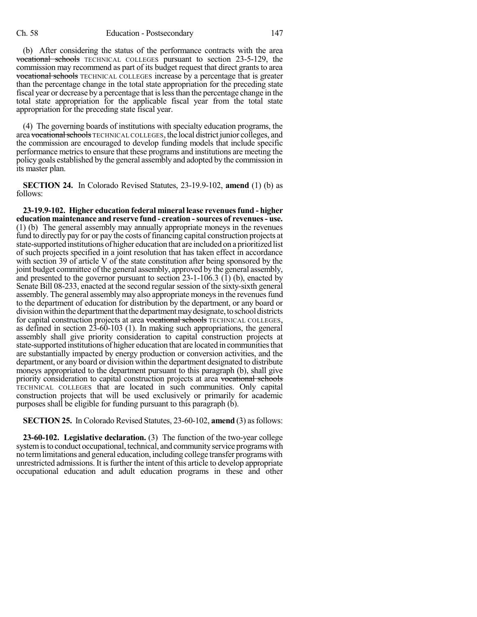(b) After considering the status of the performance contracts with the area vocational schools TECHNICAL COLLEGES pursuant to section 23-5-129, the commission may recommend as part of its budget request that direct grants to area vocational schools TECHNICAL COLLEGES increase by a percentage that is greater than the percentage change in the total state appropriation for the preceding state fiscal year or decrease by a percentage that islessthan the percentage change in the total state appropriation for the applicable fiscal year from the total state appropriation for the preceding state fiscal year.

(4) The governing boards of institutions with specialty education programs, the area vocationalschools TECHNICAL COLLEGES, the local district junior colleges, and the commission are encouraged to develop funding models that include specific performance metrics to ensure that these programs and institutions are meeting the policy goals established by the general assembly and adopted by the commission in its master plan.

**SECTION 24.** In Colorado Revised Statutes, 23-19.9-102, **amend** (1) (b) as follows:

**23-19.9-102. Higher education federal mineral lease revenuesfund - higher education maintenance and reserve fund - creation -sources of revenues- use.** (1) (b) The general assembly may annually appropriate moneys in the revenues fund to directly pay for or pay the costs of financing capital construction projects at state-supported institutions of higher education that are included on a prioritized list of such projects specified in a joint resolution that has taken effect in accordance with section 39 of article V of the state constitution after being sponsored by the joint budget committee of the general assembly, approved by the general assembly, and presented to the governor pursuant to section 23-1-106.3 (1) (b), enacted by Senate Bill 08-233, enacted at the second regular session of the sixty-sixth general assembly. The general assembly may also appropriate moneys in the revenues fund to the department of education for distribution by the department, or any board or division within the department that the department may designate, to school districts for capital construction projects at area vocational schools TECHNICAL COLLEGES, as defined in section 23-60-103 (1). In making such appropriations, the general assembly shall give priority consideration to capital construction projects at state-supported institutions of higher education that are located in communities that are substantially impacted by energy production or conversion activities, and the department, or any board or division within the department designated to distribute moneys appropriated to the department pursuant to this paragraph (b), shall give priority consideration to capital construction projects at area vocational schools TECHNICAL COLLEGES that are located in such communities. Only capital construction projects that will be used exclusively or primarily for academic purposes shall be eligible for funding pursuant to this paragraph (b).

**SECTION 25.** In Colorado Revised Statutes, 23-60-102, **amend** (3) asfollows:

**23-60-102. Legislative declaration.** (3) The function of the two-year college system is to conduct occupational, technical, and community service programs with no termlimitations and general education, including college transfer programs with unrestricted admissions. It isfurther the intent of this article to develop appropriate occupational education and adult education programs in these and other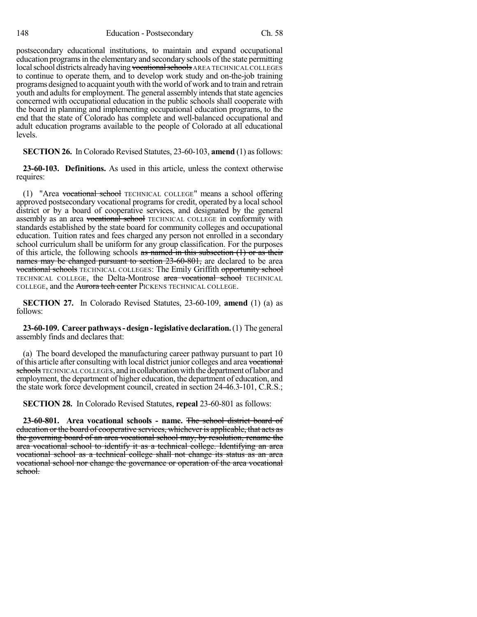postsecondary educational institutions, to maintain and expand occupational education programs in the elementary and secondary schools of the state permitting local school districts already having vocational schools AREA TECHNICAL COLLEGES to continue to operate them, and to develop work study and on-the-job training programs designed to acquaint youth with the world of work and to train and retrain youth and adults for employment. The general assembly intends that state agencies concerned with occupational education in the public schools shall cooperate with the board in planning and implementing occupational education programs, to the end that the state of Colorado has complete and well-balanced occupational and adult education programs available to the people of Colorado at all educational levels.

**SECTION 26.** In Colorado Revised Statutes, 23-60-103, **amend** (1) as follows:

**23-60-103. Definitions.** As used in this article, unless the context otherwise requires:

(1) "Area vocational school TECHNICAL COLLEGE" means a school offering approved postsecondary vocational programs for credit, operated by a local school district or by a board of cooperative services, and designated by the general assembly as an area vocational school TECHNICAL COLLEGE in conformity with standards established by the state board for community colleges and occupational education. Tuition rates and fees charged any person not enrolled in a secondary school curriculum shall be uniform for any group classification. For the purposes of this article, the following schools as named in this subsection  $(1)$  or as their names may be changed pursuant to section 23-60-801, are declared to be area vocational schools TECHNICAL COLLEGES: The Emily Griffith opportunity school TECHNICAL COLLEGE, the Delta-Montrose area vocational school TECHNICAL COLLEGE, and the Aurora tech center PICKENS TECHNICAL COLLEGE.

**SECTION 27.** In Colorado Revised Statutes, 23-60-109, **amend** (1) (a) as follows:

**23-60-109. Careerpathways-design-legislativedeclaration.**(1) The general assembly finds and declares that:

(a) The board developed the manufacturing career pathway pursuant to part 10 of this article after consulting with local district junior colleges and area vocational schools TECHNICAL COLLEGES, and in collaboration with the department of labor and employment, the department of higher education, the department of education, and the state work force development council, created in section 24-46.3-101, C.R.S.;

**SECTION 28.** In Colorado Revised Statutes, **repeal** 23-60-801 as follows:

**23-60-801. Area vocational schools - name.** The school district board of education or the board of cooperative services, whichever is applicable, that acts as the governing board of an area vocational school may, by resolution, rename the area vocational school to identify it as a technical college. Identifying an area vocational school as a technical college shall not change its status as an area vocational school nor change the governance or operation of the area vocational school.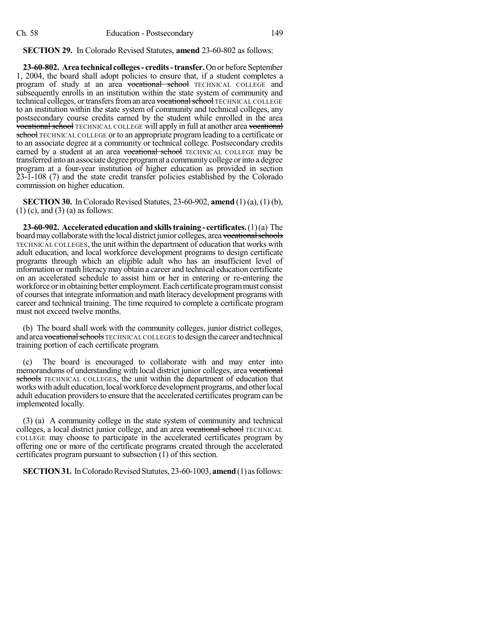**SECTION 29.** In Colorado Revised Statutes, **amend** 23-60-802 as follows:

**23-60-802. Area technical colleges- credits-transfer.**On or before September 1, 2004, the board shall adopt policies to ensure that, if a student completes a program of study at an area vocational school TECHNICAL COLLEGE and subsequently enrolls in an institution within the state system of community and technical colleges, or transfers from an area vocational school TECHNICAL COLLEGE to an institution within the state system of community and technical colleges, any postsecondary course credits earned by the student while enrolled in the area vocational school TECHNICAL COLLEGE will apply in full at another area vocational school TECHNICAL COLLEGE or to an appropriate program leading to a certificate or to an associate degree at a community or technical college. Postsecondary credits earned by a student at an area vocational school TECHNICAL COLLEGE may be transferred into an associate degree program at a community college or into a degree program at a four-year institution of higher education as provided in section 23-1-108 (7) and the state credit transfer policies established by the Colorado commission on higher education.

**SECTION 30.** In Colorado Revised Statutes, 23-60-902, **amend** (1) (a), (1) (b),  $(1)$  (c), and  $(3)$  (a) as follows:

**23-60-902.** Accelerated education and skills training - certificates.  $(1)(a)$  The board may collaborate with the local district junior colleges, area vocational schools TECHNICAL COLLEGES, the unit within the department of education that works with adult education, and local workforce development programs to design certificate programs through which an eligible adult who has an insufficient level of information or math literacy may obtain a career and technical education certificate on an accelerated schedule to assist him or her in entering or re-entering the workforce or in obtaining better employment. Each certificate program must consist of coursesthat integrate information and math literacy development programs with career and technical training. The time required to complete a certificate program must not exceed twelve months.

(b) The board shall work with the community colleges, junior district colleges, and area vocational schools TECHNICAL COLLEGES to design the career and technical training portion of each certificate program.

(c) The board is encouraged to collaborate with and may enter into memorandums of understanding with local district junior colleges, area vocational schools TECHNICAL COLLEGES, the unit within the department of education that works with adult education, local workforce development programs, and other local adult education providers to ensure that the accelerated certificates program can be implemented locally.

(3) (a) A community college in the state system of community and technical colleges, a local district junior college, and an area vocational school TECHNICAL COLLEGE may choose to participate in the accelerated certificates program by offering one or more of the certificate programs created through the accelerated certificates program pursuant to subsection (1) of this section.

**SECTION 31.** In Colorado Revised Statutes, 23-60-1003, **amend** (1) as follows: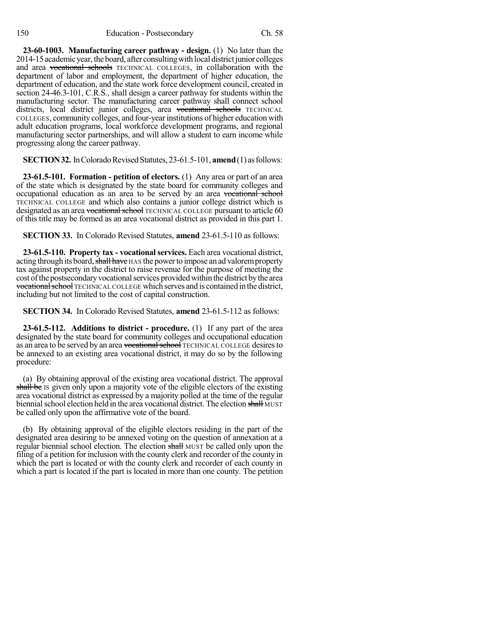**23-60-1003. Manufacturing career pathway - design.** (1) No later than the 2014-15 academic year, the board, after consulting with local district junior colleges and area vocational schools TECHNICAL COLLEGES, in collaboration with the department of labor and employment, the department of higher education, the department of education, and the state work force development council, created in section 24-46.3-101, C.R.S., shall design a career pathway for students within the manufacturing sector. The manufacturing career pathway shall connect school districts, local district junior colleges, area vocational schools TECHNICAL COLLEGES, community colleges, and four-yearinstitutions of higher education with adult education programs, local workforce development programs, and regional manufacturing sector partnerships, and will allow a student to earn income while progressing along the career pathway.

**SECTION 32.** In Colorado Revised Statutes, 23-61.5-101, **amend** (1) as follows:

**23-61.5-101. Formation - petition of electors.** (1) Any area or part of an area of the state which is designated by the state board for community colleges and occupational education as an area to be served by an area vocational school TECHNICAL COLLEGE and which also contains a junior college district which is designated as an area vocational school TECHNICAL COLLEGE pursuant to article 60 of this title may be formed as an area vocational district as provided in this part 1.

**SECTION 33.** In Colorado Revised Statutes, **amend** 23-61.5-110 as follows:

**23-61.5-110. Property tax - vocational services.** Each area vocational district, acting through its board, shall have HAS the power to impose an ad valorem property tax against property in the district to raise revenue for the purpose of meeting the cost of the postsecondary vocational services provided within the district by the area vocational school TECHNICAL COLLEGE which serves and is contained in the district, including but not limited to the cost of capital construction.

**SECTION 34.** In Colorado Revised Statutes, **amend** 23-61.5-112 as follows:

**23-61.5-112. Additions to district - procedure.** (1) If any part of the area designated by the state board for community colleges and occupational education as an area to be served by an area vocational school TECHNICAL COLLEGE desires to be annexed to an existing area vocational district, it may do so by the following procedure:

(a) By obtaining approval of the existing area vocational district. The approval shall be IS given only upon a majority vote of the eligible electors of the existing area vocational district as expressed by a majority polled at the time of the regular biennial school election held in the area vocational district. The election shall MUST be called only upon the affirmative vote of the board.

(b) By obtaining approval of the eligible electors residing in the part of the designated area desiring to be annexed voting on the question of annexation at a regular biennial school election. The election shall MUST be called only upon the filing of a petition for inclusion with the county clerk and recorder of the county in which the part is located or with the county clerk and recorder of each county in which a part is located if the part is located in more than one county. The petition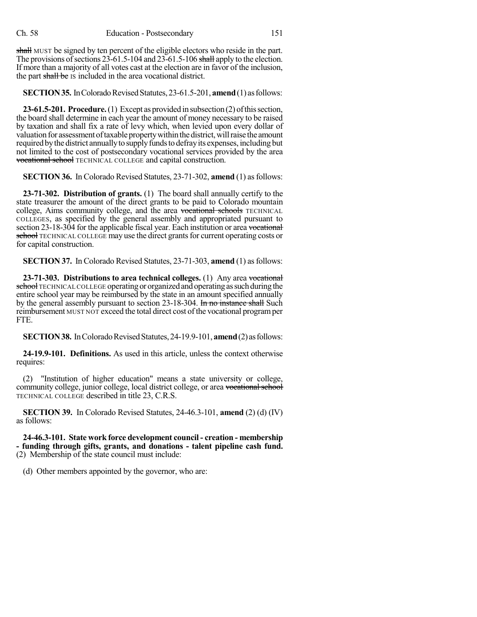shall MUST be signed by ten percent of the eligible electors who reside in the part. The provisions of sections  $23-61.5-104$  and  $23-61.5-106$  shall apply to the election. If more than a majority of all votes cast at the election are in favor of the inclusion, the part shall be IS included in the area vocational district.

**SECTION 35.** In Colorado Revised Statutes, 23-61.5-201, **amend** (1) as follows:

**23-61.5-201. Procedure.**(1) Except as provided in subsection (2) ofthissection, the board shall determine in each year the amount of money necessary to be raised by taxation and shall fix a rate of levy which, when levied upon every dollar of valuation for assessment of taxable property within the district, will raise the amount required bythe district annuallyto supplyfundsto defrayits expenses, including but not limited to the cost of postsecondary vocational services provided by the area vocational school TECHNICAL COLLEGE and capital construction.

**SECTION 36.** In Colorado Revised Statutes, 23-71-302, **amend** (1) as follows:

**23-71-302. Distribution of grants.** (1) The board shall annually certify to the state treasurer the amount of the direct grants to be paid to Colorado mountain college, Aims community college, and the area vocational schools TECHNICAL COLLEGES, as specified by the general assembly and appropriated pursuant to section 23-18-304 for the applicable fiscal year. Each institution or area vocational school TECHNICAL COLLEGE may use the direct grants for current operating costs or for capital construction.

**SECTION 37.** InColorado Revised Statutes, 23-71-303, **amend** (1) asfollows:

**23-71-303. Distributions to area technical colleges.** (1) Any area vocational school TECHNICAL COLLEGE operating or organized and operating as such during the entire school year may be reimbursed by the state in an amount specified annually by the general assembly pursuant to section 23-18-304. In no instance shall Such reimbursement MUST NOT exceed the total direct cost of the vocational program per FTE.

**SECTION 38.** In Colorado Revised Statutes, 24-19.9-101, **amend** (2) as follows:

**24-19.9-101. Definitions.** As used in this article, unless the context otherwise requires:

(2) "Institution of higher education" means a state university or college, community college, junior college, local district college, or area vocational school TECHNICAL COLLEGE described in title 23, C.R.S.

**SECTION 39.** In Colorado Revised Statutes, 24-46.3-101, **amend** (2) (d) (IV) as follows:

**24-46.3-101. State work force development council - creation - membership - funding through gifts, grants, and donations - talent pipeline cash fund.** (2) Membership of the state council must include:

(d) Other members appointed by the governor, who are: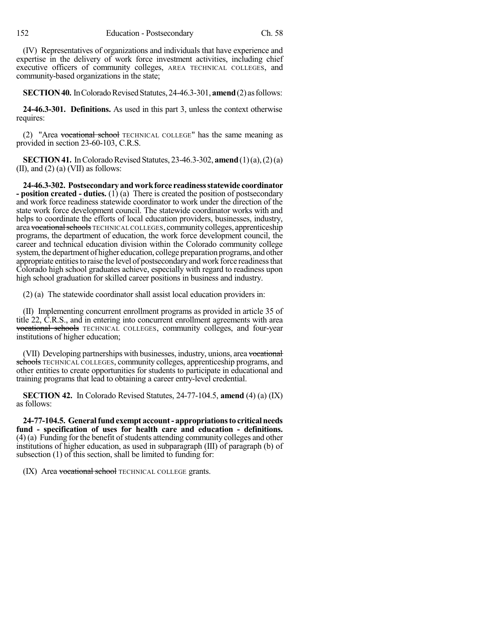(IV) Representatives of organizations and individuals that have experience and expertise in the delivery of work force investment activities, including chief executive officers of community colleges, AREA TECHNICAL COLLEGES, and community-based organizations in the state;

**SECTION 40.** In Colorado Revised Statutes, 24-46.3-301, **amend** (2) as follows:

**24-46.3-301. Definitions.** As used in this part 3, unless the context otherwise requires:

(2) "Area vocational school TECHNICAL COLLEGE" has the same meaning as provided in section 23-60-103, C.R.S.

**SECTION 41.** In Colorado Revised Statutes, 23-46.3-302, **amend**  $(1)(a)$ ,  $(2)(a)$ (II), and (2) (a) (VII) as follows:

**24-46.3-302. Postsecondary andworkforce readinessstatewide coordinator - position created - duties.** (1) (a) There is created the position of postsecondary and work force readiness statewide coordinator to work under the direction of the state work force development council. The statewide coordinator works with and helps to coordinate the efforts of local education providers, businesses, industry, area vocational schools TECHNICAL COLLEGES, community colleges, apprenticeship programs, the department of education, the work force development council, the career and technical education division within the Colorado community college system, the department of higher education, college preparation programs, and other appropriate entities to raise the level of postsecondary and work force readiness that Colorado high school graduates achieve, especially with regard to readiness upon high school graduation for skilled career positions in business and industry.

(2) (a) The statewide coordinator shall assist local education providers in:

(II) Implementing concurrent enrollment programs as provided in article 35 of title 22, C.R.S., and in entering into concurrent enrollment agreements with area vocational schools TECHNICAL COLLEGES, community colleges, and four-year institutions of higher education;

(VII) Developing partnerships with businesses, industry, unions, area vocational schools TECHNICAL COLLEGES, community colleges, apprenticeship programs, and other entities to create opportunities for students to participate in educational and training programs that lead to obtaining a career entry-level credential.

**SECTION 42.** In Colorado Revised Statutes, 24-77-104.5, **amend** (4) (a) (IX) as follows:

**24-77-104.5. Generalfund exempt account- appropriationsto criticalneeds fund - specification of uses for health care and education - definitions.**  $(4)$  (a) Funding for the benefit of students attending community colleges and other institutions of higher education, as used in subparagraph (III) of paragraph (b) of subsection (1) of this section, shall be limited to funding for:

(IX) Area vocational school TECHNICAL COLLEGE grants.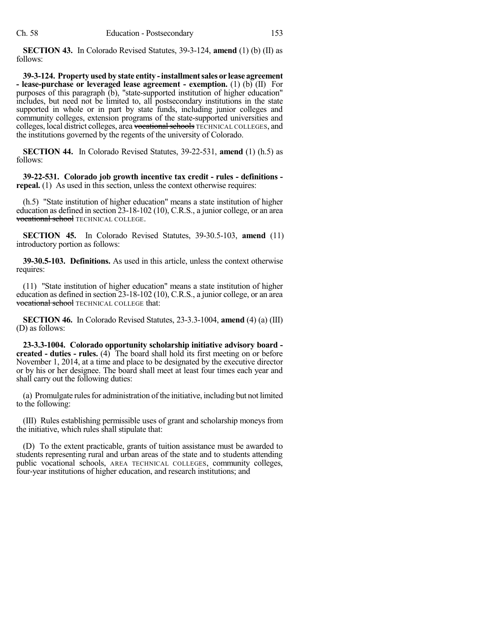**SECTION 43.** In Colorado Revised Statutes, 39-3-124, **amend** (1) (b) (II) as follows:

**39-3-124. Propertyused by state entity -installmentsales or lease agreement - lease-purchase or leveraged lease agreement - exemption.** (1) (b) (II) For purposes of this paragraph (b), "state-supported institution of higher education" includes, but need not be limited to, all postsecondary institutions in the state supported in whole or in part by state funds, including junior colleges and community colleges, extension programs of the state-supported universities and colleges, local district colleges, area vocational schools TECHNICAL COLLEGES, and the institutions governed by the regents of the university of Colorado.

**SECTION 44.** In Colorado Revised Statutes, 39-22-531, **amend** (1) (h.5) as follows:

**39-22-531. Colorado job growth incentive tax credit - rules - definitions repeal.** (1) As used in this section, unless the context otherwise requires:

(h.5) "State institution of higher education" means a state institution of higher education as defined in section 23-18-102 (10), C.R.S., a junior college, or an area vocational school TECHNICAL COLLEGE.

**SECTION 45.** In Colorado Revised Statutes, 39-30.5-103, **amend** (11) introductory portion as follows:

**39-30.5-103. Definitions.** As used in this article, unless the context otherwise requires:

(11) "State institution of higher education" means a state institution of higher education as defined in section 23-18-102 (10), C.R.S., a junior college, or an area vocational school TECHNICAL COLLEGE that:

**SECTION 46.** In Colorado Revised Statutes, 23-3.3-1004, **amend** (4) (a) (III) (D) as follows:

**23-3.3-1004. Colorado opportunity scholarship initiative advisory board created - duties - rules.** (4) The board shall hold its first meeting on or before November 1, 2014, at a time and place to be designated by the executive director or by his or her designee. The board shall meet at least four times each year and shall carry out the following duties:

(a) Promulgate rules for administration of the initiative, including but not limited to the following:

(III) Rules establishing permissible uses of grant and scholarship moneys from the initiative, which rules shall stipulate that:

(D) To the extent practicable, grants of tuition assistance must be awarded to students representing rural and urban areas of the state and to students attending public vocational schools, AREA TECHNICAL COLLEGES, community colleges, four-year institutions of higher education, and research institutions; and